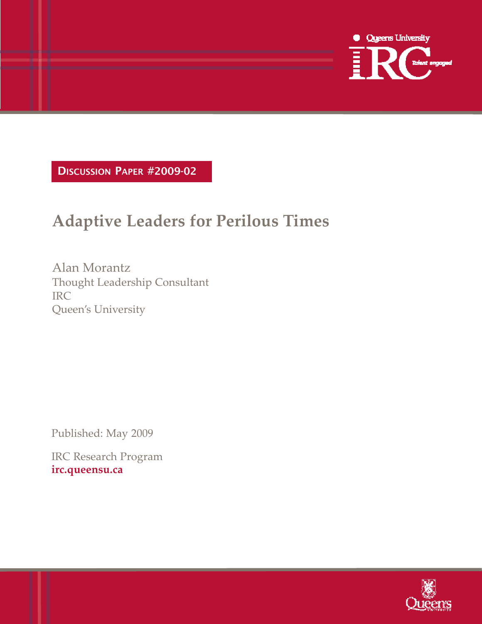

DISCUSSION PAPER #2009-02

## **Adaptive Leaders for Perilous Times**

Alan Morantz Thought Leadership Consultant IRC Queen's University

Published: May 2009

IRC Research Program **irc.queensu.ca**